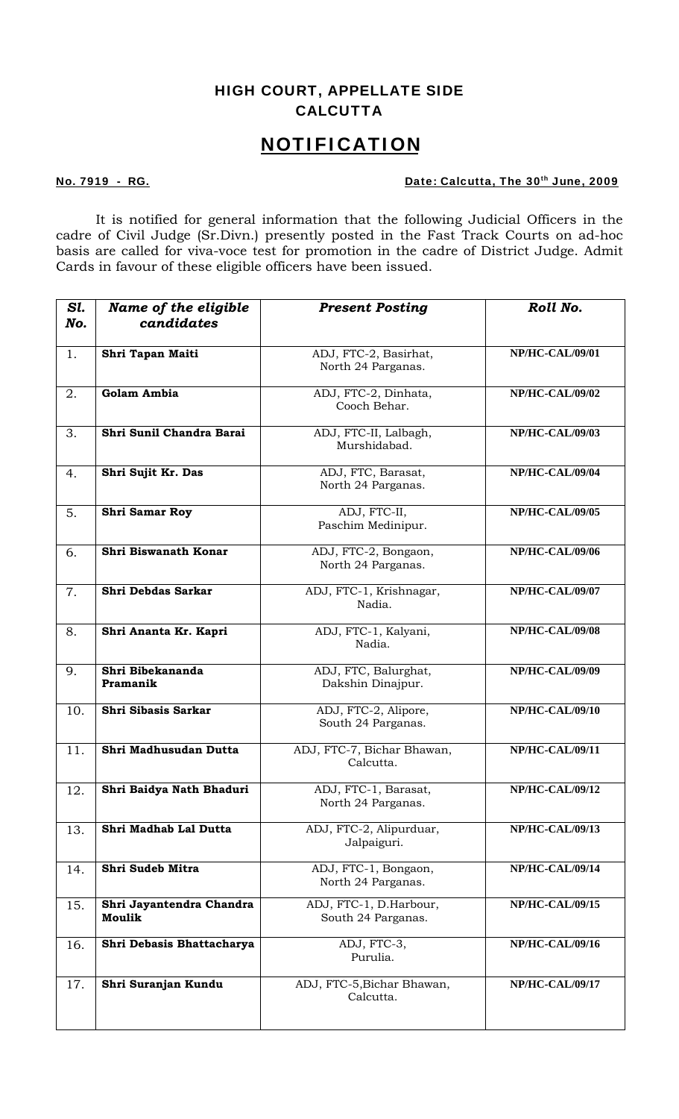## HIGH COURT, APPELLATE SIDE **CALCUTTA**

## **N O T I F I C A T I O N**

## No. 7919 - RG. No. 7919 - RG.

It is notified for general information that the following Judicial Officers in the cadre of Civil Judge (Sr.Divn.) presently posted in the Fast Track Courts on ad-hoc basis are called for viva-voce test for promotion in the cadre of District Judge. Admit Cards in favour of these eligible officers have been issued.

| Sl.<br>No. | Name of the eligible<br>candidates | <b>Present Posting</b>                       | Roll No.               |
|------------|------------------------------------|----------------------------------------------|------------------------|
|            |                                    |                                              |                        |
| 1.         | Shri Tapan Maiti                   | ADJ, FTC-2, Basirhat,<br>North 24 Parganas.  | <b>NP/HC-CAL/09/01</b> |
| 2.         | <b>Golam Ambia</b>                 | ADJ, FTC-2, Dinhata,<br>Cooch Behar.         | <b>NP/HC-CAL/09/02</b> |
| 3.         | Shri Sunil Chandra Barai           | ADJ, FTC-II, Lalbagh,<br>Murshidabad.        | <b>NP/HC-CAL/09/03</b> |
| 4.         | Shri Sujit Kr. Das                 | ADJ, FTC, Barasat,<br>North 24 Parganas.     | NP/HC-CAL/09/04        |
| 5.         | Shri Samar Roy                     | ADJ, FTC-II,<br>Paschim Medinipur.           | <b>NP/HC-CAL/09/05</b> |
| 6.         | Shri Biswanath Konar               | ADJ, FTC-2, Bongaon,<br>North 24 Parganas.   | <b>NP/HC-CAL/09/06</b> |
| 7.         | Shri Debdas Sarkar                 | ADJ, FTC-1, Krishnagar,<br>Nadia.            | <b>NP/HC-CAL/09/07</b> |
| 8.         | Shri Ananta Kr. Kapri              | ADJ, FTC-1, Kalyani,<br>Nadia.               | <b>NP/HC-CAL/09/08</b> |
| 9.         | Shri Bibekananda<br>Pramanik       | ADJ, FTC, Balurghat,<br>Dakshin Dinajpur.    | <b>NP/HC-CAL/09/09</b> |
| 10.        | Shri Sibasis Sarkar                | ADJ, FTC-2, Alipore,<br>South 24 Parganas.   | NP/HC-CAL/09/10        |
| 11.        | Shri Madhusudan Dutta              | ADJ, FTC-7, Bichar Bhawan,<br>Calcutta.      | <b>NP/HC-CAL/09/11</b> |
| 12         | Shri Baidya Nath Bhaduri           | ADJ, FTC-1, Barasat,<br>North 24 Parganas.   | <b>NP/HC-CAL/09/12</b> |
| 13.        | Shri Madhab Lal Dutta              | ADJ, FTC-2, Alipurduar,<br>Jalpaiguri.       | <b>NP/HC-CAL/09/13</b> |
| 14.        | Shri Sudeb Mitra                   | ADJ, FTC-1, Bongaon,<br>North 24 Parganas.   | NP/HC-CAL/09/14        |
| 15.        | Shri Jayantendra Chandra<br>Moulik | ADJ, FTC-1, D.Harbour,<br>South 24 Parganas. | <b>NP/HC-CAL/09/15</b> |
| 16.        | Shri Debasis Bhattacharya          | ADJ, FTC-3,<br>Purulia.                      | <b>NP/HC-CAL/09/16</b> |
| 17.        | Shri Suranjan Kundu                | ADJ, FTC-5, Bichar Bhawan,<br>Calcutta.      | <b>NP/HC-CAL/09/17</b> |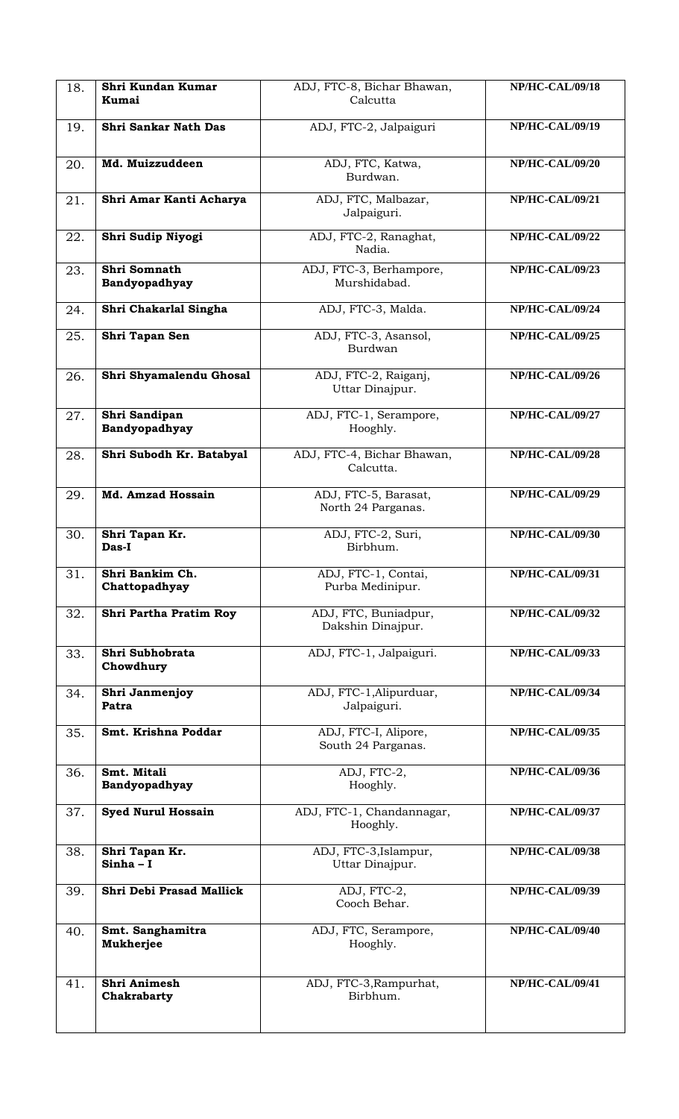| 18. | Shri Kundan Kumar<br>Kumai         | ADJ, FTC-8, Bichar Bhawan,<br>Calcutta     | <b>NP/HC-CAL/09/18</b> |
|-----|------------------------------------|--------------------------------------------|------------------------|
| 19. | Shri Sankar Nath Das               | ADJ, FTC-2, Jalpaiguri                     | <b>NP/HC-CAL/09/19</b> |
| 20. | Md. Muizzuddeen                    | ADJ, FTC, Katwa,<br>Burdwan.               | <b>NP/HC-CAL/09/20</b> |
| 21. | Shri Amar Kanti Acharya            | ADJ, FTC, Malbazar,<br>Jalpaiguri.         | <b>NP/HC-CAL/09/21</b> |
| 22. | Shri Sudip Niyogi                  | ADJ, FTC-2, Ranaghat,<br>Nadia.            | <b>NP/HC-CAL/09/22</b> |
| 23. | Shri Somnath<br>Bandyopadhyay      | ADJ, FTC-3, Berhampore,<br>Murshidabad.    | <b>NP/HC-CAL/09/23</b> |
| 24. | Shri Chakarlal Singha              | ADJ, FTC-3, Malda.                         | <b>NP/HC-CAL/09/24</b> |
| 25. | Shri Tapan Sen                     | ADJ, FTC-3, Asansol,<br>Burdwan            | <b>NP/HC-CAL/09/25</b> |
| 26. | Shri Shyamalendu Ghosal            | ADJ, FTC-2, Raiganj,<br>Uttar Dinajpur.    | NP/HC-CAL/09/26        |
| 27. | Shri Sandipan<br>Bandyopadhyay     | ADJ, FTC-1, Serampore,<br>Hooghly.         | <b>NP/HC-CAL/09/27</b> |
| 28. | Shri Subodh Kr. Batabyal           | ADJ, FTC-4, Bichar Bhawan,<br>Calcutta.    | <b>NP/HC-CAL/09/28</b> |
| 29. | Md. Amzad Hossain                  | ADJ, FTC-5, Barasat,<br>North 24 Parganas. | <b>NP/HC-CAL/09/29</b> |
| 30. | Shri Tapan Kr.<br>Das-I            | ADJ, FTC-2, Suri,<br>Birbhum.              | <b>NP/HC-CAL/09/30</b> |
| 31. | Shri Bankim Ch.<br>Chattopadhyay   | ADJ, FTC-1, Contai,<br>Purba Medinipur.    | <b>NP/HC-CAL/09/31</b> |
| 32. | Shri Partha Pratim Roy             | ADJ, FTC, Buniadpur,<br>Dakshin Dinajpur.  | <b>NP/HC-CAL/09/32</b> |
| 33. | Shri Subhobrata<br>Chowdhury       | ADJ, FTC-1, Jalpaiguri.                    | <b>NP/HC-CAL/09/33</b> |
| 34. | Shri Janmenjoy<br>Patra            | ADJ, FTC-1, Alipurduar,<br>Jalpaiguri.     | <b>NP/HC-CAL/09/34</b> |
| 35. | Smt. Krishna Poddar                | ADJ, FTC-I, Alipore,<br>South 24 Parganas. | <b>NP/HC-CAL/09/35</b> |
| 36. | Smt. Mitali<br>Bandyopadhyay       | ADJ, FTC-2,<br>Hooghly.                    | <b>NP/HC-CAL/09/36</b> |
| 37. | <b>Syed Nurul Hossain</b>          | ADJ, FTC-1, Chandannagar,<br>Hooghly.      | NP/HC-CAL/09/37        |
| 38. | Shri Tapan Kr.<br>$Sinha - I$      | ADJ, FTC-3, Islampur,<br>Uttar Dinajpur.   | <b>NP/HC-CAL/09/38</b> |
| 39. | Shri Debi Prasad Mallick           | ADJ, FTC-2,<br>Cooch Behar.                | <b>NP/HC-CAL/09/39</b> |
| 40. | Smt. Sanghamitra<br>Mukherjee      | ADJ, FTC, Serampore,<br>Hooghly.           | NP/HC-CAL/09/40        |
| 41. | <b>Shri Animesh</b><br>Chakrabarty | ADJ, FTC-3, Rampurhat,<br>Birbhum.         | NP/HC-CAL/09/41        |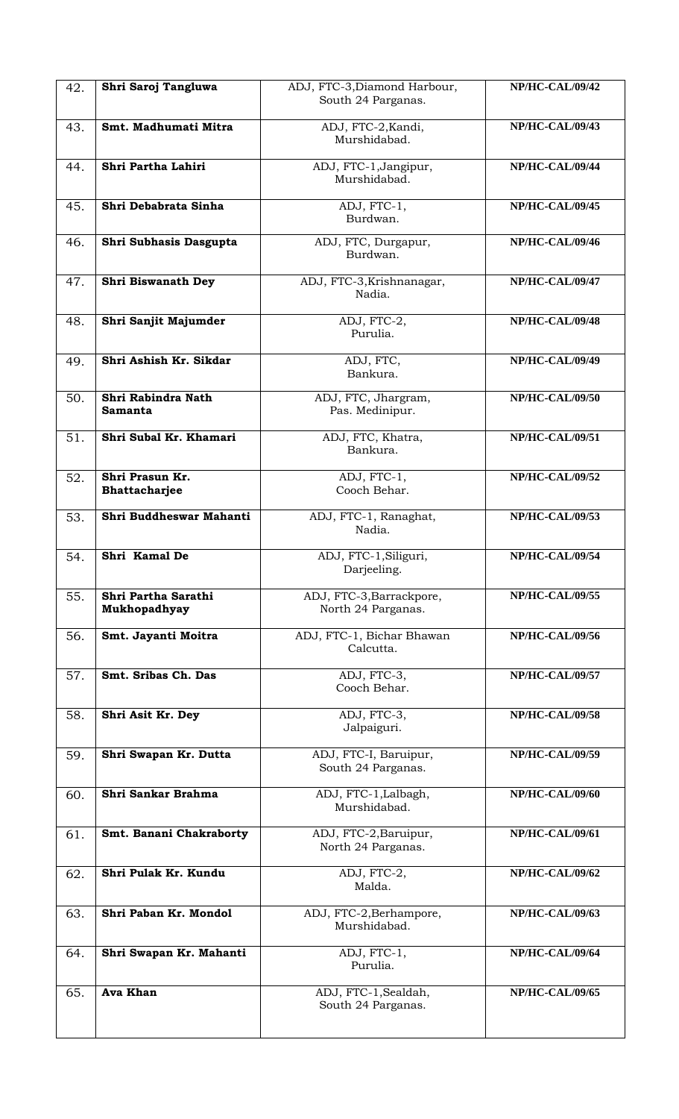| 42. | Shri Saroj Tangluwa                  | ADJ, FTC-3, Diamond Harbour,<br>South 24 Parganas. | NP/HC-CAL/09/42                     |
|-----|--------------------------------------|----------------------------------------------------|-------------------------------------|
| 43. | Smt. Madhumati Mitra                 | ADJ, FTC-2, Kandi,<br>Murshidabad.                 | NP/HC-CAL/09/43                     |
| 44. | Shri Partha Lahiri                   | ADJ, FTC-1, Jangipur,<br>Murshidabad.              | NP/HC-CAL/09/44                     |
| 45. | Shri Debabrata Sinha                 | ADJ, FTC-1,<br>Burdwan.                            | <b>NP/HC-CAL/09/45</b>              |
| 46. | Shri Subhasis Dasgupta               | ADJ, FTC, Durgapur,<br>Burdwan.                    | <b>NP/HC-CAL/09/46</b>              |
| 47. | Shri Biswanath Dey                   | ADJ, FTC-3, Krishnanagar,<br>Nadia.                | NP/HC-CAL/09/47                     |
| 48. | Shri Sanjit Majumder                 | ADJ, FTC-2,<br>Purulia.                            | <b>NP/HC-CAL/09/48</b>              |
| 49. | Shri Ashish Kr. Sikdar               | ADJ, FTC,<br>Bankura.                              | <b>NP/HC-CAL/09/49</b>              |
| 50. | Shri Rabindra Nath<br><b>Samanta</b> | ADJ, FTC, Jhargram,<br>Pas. Medinipur.             | <b>NP/HC-CAL/09/50</b>              |
| 51. | Shri Subal Kr. Khamari               | ADJ, FTC, Khatra,<br>Bankura.                      | <b>NP/HC-CAL/09/51</b>              |
| 52. | Shri Prasun Kr.<br>Bhattacharjee     | ADJ, FTC-1,<br>Cooch Behar.                        | <b>NP/HC-CAL/09/52</b>              |
| 53. | Shri Buddheswar Mahanti              | ADJ, FTC-1, Ranaghat,<br>Nadia.                    | <b>NP/HC-CAL/09/53</b>              |
| 54. | Shri Kamal De                        | ADJ, FTC-1, Siliguri,<br>Darjeeling.               | <b>NP/HC-CAL/09/54</b>              |
| 55. | Shri Partha Sarathi<br>Mukhopadhyay  | ADJ, FTC-3, Barrackpore,<br>North 24 Parganas.     | <b>NP/HC-CAL/09/55</b>              |
| 56. | Smt. Jayanti Moitra                  | ADJ, FTC-1, Bichar Bhawan<br>Calcutta.             | <b>NP/HC-CAL/09/56</b>              |
| 57. | Smt. Sribas Ch. Das                  | ADJ, FTC-3,<br>Cooch Behar.                        | $\overline{\text{NP/HC-CAL}/09}/57$ |
| 58. | Shri Asit Kr. Dey                    | ADJ, FTC-3,<br>Jalpaiguri.                         | <b>NP/HC-CAL/09/58</b>              |
| 59. | Shri Swapan Kr. Dutta                | ADJ, FTC-I, Baruipur,<br>South 24 Parganas.        | <b>NP/HC-CAL/09/59</b>              |
| 60. | Shri Sankar Brahma                   | ADJ, FTC-1, Lalbagh,<br>Murshidabad.               | <b>NP/HC-CAL/09/60</b>              |
| 61. | Smt. Banani Chakraborty              | ADJ, FTC-2, Baruipur,<br>North 24 Parganas.        | <b>NP/HC-CAL/09/61</b>              |
| 62. | Shri Pulak Kr. Kundu                 | ADJ, FTC-2,<br>Malda.                              | <b>NP/HC-CAL/09/62</b>              |
| 63. | Shri Paban Kr. Mondol                | ADJ, FTC-2, Berhampore,<br>Murshidabad.            | <b>NP/HC-CAL/09/63</b>              |
| 64. | Shri Swapan Kr. Mahanti              | ADJ, FTC-1,<br>Purulia.                            | NP/HC-CAL/09/64                     |
| 65. | Ava Khan                             | ADJ, FTC-1, Sealdah,<br>South 24 Parganas.         | <b>NP/HC-CAL/09/65</b>              |
|     |                                      |                                                    |                                     |